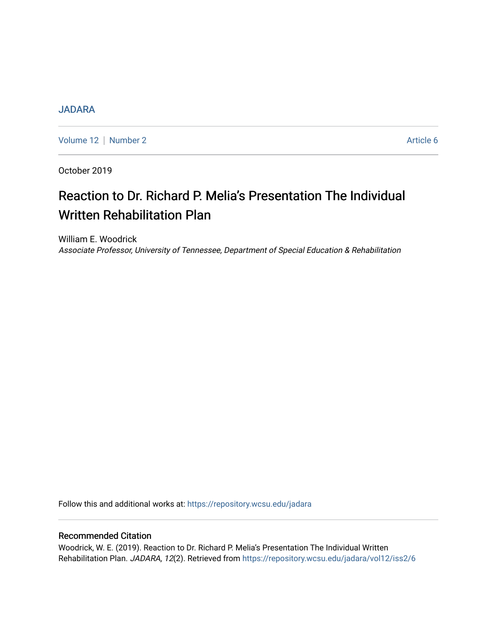# [JADARA](https://repository.wcsu.edu/jadara)

[Volume 12](https://repository.wcsu.edu/jadara/vol12) | [Number 2](https://repository.wcsu.edu/jadara/vol12/iss2) Article 6

October 2019

# Reaction to Dr. Richard P. Melia's Presentation The Individual Written Rehabilitation Plan

William E. Woodrick Associate Professor, University of Tennessee, Department of Special Education & Rehabilitation

Follow this and additional works at: [https://repository.wcsu.edu/jadara](https://repository.wcsu.edu/jadara?utm_source=repository.wcsu.edu%2Fjadara%2Fvol12%2Fiss2%2F6&utm_medium=PDF&utm_campaign=PDFCoverPages)

# Recommended Citation

Woodrick, W. E. (2019). Reaction to Dr. Richard P. Melia's Presentation The Individual Written Rehabilitation Plan. JADARA, 12(2). Retrieved from [https://repository.wcsu.edu/jadara/vol12/iss2/6](https://repository.wcsu.edu/jadara/vol12/iss2/6?utm_source=repository.wcsu.edu%2Fjadara%2Fvol12%2Fiss2%2F6&utm_medium=PDF&utm_campaign=PDFCoverPages)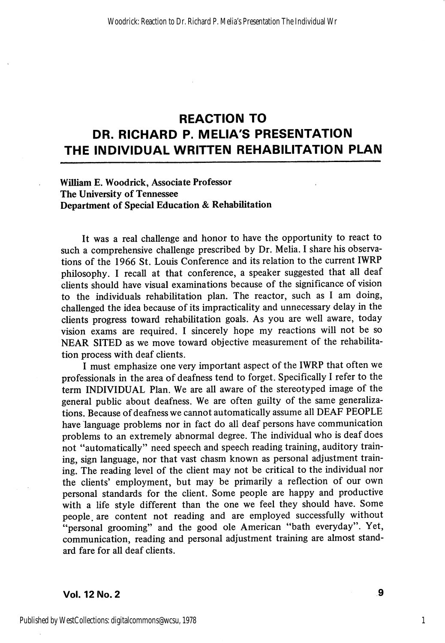# REACTION TO DR. RICHARD P. MELIA'S PRESENTATION THE INDIVIDUAL WRITTEN REHABILITATION PLAN

#### William E. Woodrick, Associate Professor The University of Tennessee Department of Special Education & Rehabilitation

It was a real challenge and honor to have the opportunity to react to such a comprehensive challenge prescribed by Dr. Melia. I share his observa tions of the 1966 St. Louis Conference and its relation to the current IWRP philosophy. I recall at that conference, a speaker suggested that all deaf clients should have visual examinations because of the significance of vision to the individuals rehabilitation plan. The reactor, such as 1 am doing, challenged the idea because of its impracticality and unnecessary delay in the clients progress toward rehabilitation goals. As you are well aware, today vision exams are required. I sincerely hope my reactions will not be so NEAR SITED as we move toward objective measurement of the rehabilita tion process with deaf clients.

I must emphasize one very important aspect of the IWRP that often we professionals in the area of deafness tend to forget. Specifically 1 refer to the term INDIVIDUAL Plan. We are all aware of the stereotyped image of the general public about deafness. We are often guilty of the same generaliza tions. Because of deafness we cannot automatically assume all DEAF PEOPLE have language problems nor in fact do all deaf persons have communication problems to an extremely abnormal degree. The individual who is deaf does not "automatically" need speech and speech reading training, auditory train ing, sign language, nor that vast chasm known as personal adjustment train ing. The reading level of the client may not be critical to the individual nor the clients' employment, but may be primarily a reflection of our own personal standards for the client. Some people are happy and productive with a life style different than the one we feel they should have. Some people, are content not reading and are employed successfully without "personal grooming" and the good ole American "bath everyday". Yet, communication, reading and personal adjustment training are almost stand ard fare for all deaf clients.

#### Vol. 12 No. 2

1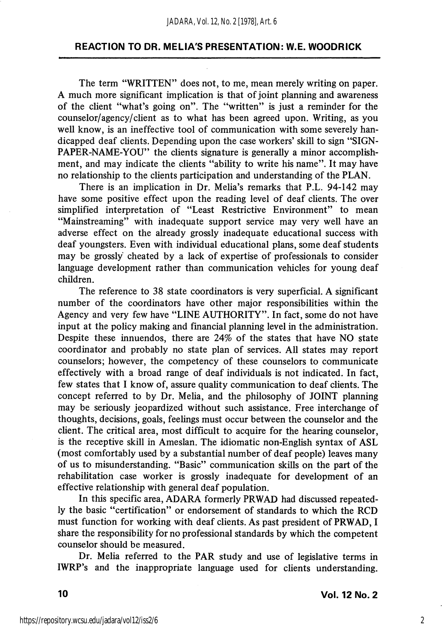The term "WRITTEN" does not, to me, mean merely writing on paper. A much more significant implication is that of joint planning and awareness of the client "what's going on". The "written" is just a reminder for the counselor/agency/client as to what has been agreed upon. Writing, as you well know, is an ineffective tool of communication with some severely han dicapped deaf cUents. Depending upon the case workers' skill to sign "SIGN-PAPER-NAME-YOU" the clients signature is generally a minor accomplishment, and may indicate the clients "ability to write his name". It may have no relationship to the clients participation and understanding of the PLAN.

There is an implication in Dr. Melia's remarks that P.L. 94-142 may have some positive effect upon the reading level of deaf clients. The over simplified interpretation of "Least Restrictive Environment" to mean "Mainstreaming" with inadequate support service may very well have an adverse effect on the already grossly inadequate educational success with deaf youngsters. Even with individual educational plans, some deaf students may be grossly cheated by a lack of expertise of professionals to consider language development rather than communication vehicles for young deaf children.

The reference to 38 state coordinators is very superficial. A significant number of the coordinators have other major responsibilities within the Agency and very few have "LINE AUTHORITY". In fact, some do not have input at the policy making and financial planning level in the administration. Despite these innuendos, there are 24% of the states that have NO state coordinator and probably no state plan of services. All states may report counselors; however, the competency of these counselors to communicate effectively with a broad range of deaf individuals is not indicated. In fact, few states that I know of, assure quality communication to deaf clients. The concept referred to by Dr. Melia, and the philosophy of JOINT planning may be seriously jeopardized without such assistance. Free interchange of thoughts, decisions, goals, feelings must occur between the counselor and the client. The critical area, most difficult to acquire for the hearing counselor, is the receptive skill in Ameslan. The idiomatic non-English syntax of ASL (most comfortably used by a substantial number of deaf people) leaves many of us to misunderstanding. "Basic" communication skills on the part of the rehabilitation case worker is grossly inadequate for development of an effective relationship with general deaf population.

In this specific area, ADARA formerly PRWAD had discussed repeated ly the basic "certification" or endorsement of standards to which the RCD must function for working with deaf clients. As past president of PRWAD, I share the responsibility for no professional standards by which the competent counselor should be measured.

Dr. Melia referred to the PAR study and use of legislative terms in IWRP's and the inappropriate language used for clients understanding.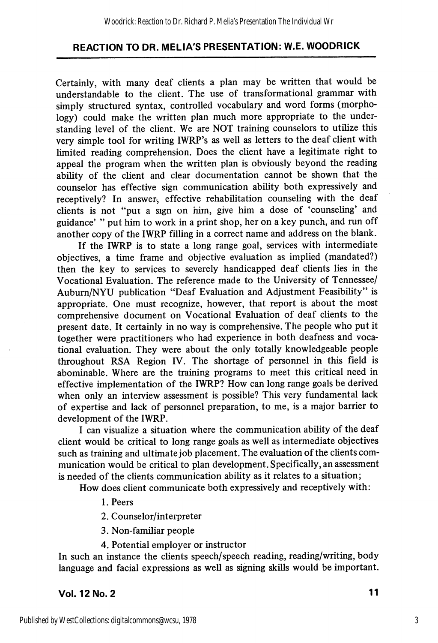Certainly, with many deaf clients a plan may be written that would be understandable to the client. The use of transformational grammar with simply structured syntax, controlled vocabulary and word forms (morpho logy) could make the written plan much more appropriate to the understanding level of the client. We are NOT training counselors to utilize this very simple tool for writing IWRP's as well as letters to the deaf client with limited reading comprehension. Does the client have a legitimate right to appeal the program when the written plan is obviously beyond the reading abihty of the client and clear documentation cannot be shown that the counselor has effective sign communication ability both expressively and receptively? In answer, effective rehabilitation counseling with the deaf clients is not "pui a sign on him, give him a dose of 'counseling' and guidance' " put him to work in a print shop, her on a key punch, and run off another copy of the IWRP filling in a correct name and address on the blank.

If the IWRP is to state a long range goal, services with intermediate objectives, a time frame and objective evaluation as implied (mandated?) then the key to services to severely handicapped deaf clients lies in the Vocational Evaluation. The reference made to the University of Tennessee/ Auburn/NYU publication "Deaf Evaluation and Adjustment Feasibility" is appropriate. One must recognize, however, that report is about the most comprehensive document on Vocational Evaluation of deaf clients to the present date. It certainly in no way is comprehensive. The people who put it together were practitioners who had experience in both deafness and voca tional evaluation. They were about the only totally knowledgeable people throughout RSA Region IV. The shortage of personnel in this field is abominable. Where are the training programs to meet this critical need in effective implementation of the IWRP? How can long range goals be derived when only an interview assessment is possible? This very fundamental lack of expertise and lack of personnel preparation, to me, is a major barrier to development of the IWRP.

I can visualize a situation where the communication ability of the deaf client would be critical to long range goals as well as intermediate objectives such as training and ultimate job placement. The evaluation of the clients com munication would be critical to plan development. Specifically, an assessment is needed of the clients communication ability as it relates to a situation;

How does client communicate both expressively and receptively with:

- 1. Peers
- 2. Counselor/interpreter
- 3. Non-familiar people
- 4. Potential employer or instructor

In such an instance the clients speech/speech reading, reading/writing, body language and facial expressions as well as signing skills would be important.

# Vol. 12 No. 2 11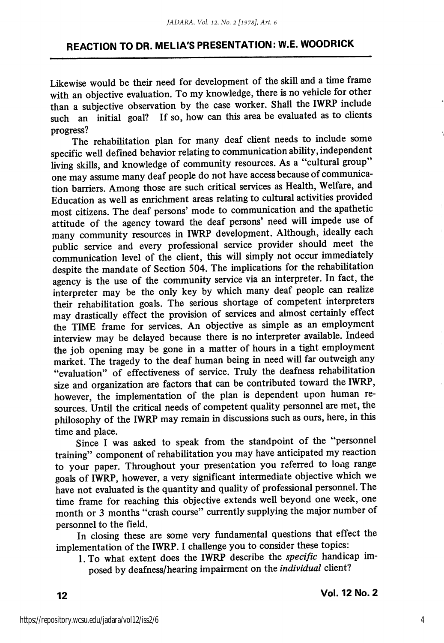Likewise would be their need for development of the skill and a time frame with an objective evaluation. To my knowledge, there is no vehicle for other than a subjective observation by the case worker. Shall the IWRP include such an initial goal? If so, how can this area be evaluated as to clients progress?

The rehabilitation plan for many deaf client needs to include some specific well defined behavior relating to communication ability, independent living skills, and knowledge of community resources. As a "cultural group" one may assume many deaf people do not have access because of communica tion barriers. Among those are such critical services as Health, Welfare, and Education as well as enrichment areas relating to cultural activities provided most citizens. The deaf persons' mode to communication and the apathetic attitude of the agency toward the deaf persons' need will impede use of many community resources in IWRP development. Although, ideally each public service and every professional service provider should meet the communication level of the client, this will simply not occur immediately despite the mandate of Section 504. The implications for the rehabilitation agency is the use of the community service via an interpreter. In fact, the interpreter may be the only key by which many deaf people can realize their rehabilitation goals. The serious shortage of competent interpreters may drastically effect the provision of services and almost certainly effect the TIME frame for services. An objective as simple as an employment interview may be delayed because there is no interpreter available. Indeed the job opening may be gone in a matter of hours in a tight employment market. The tragedy to the deaf human being in need will far outweigh any "evaluation" of effectiveness of service. Truly the deafness rehabilitation size and organization are factors that can be contributed toward the IWRP, however, the implementation of the plan is dependent upon human re sources. Until the critical needs of competent quality personnel are met, the philosophy of the IWRP may remain in discussions such as ours, here, in this time and place.

Since I was asked to speak from the standpoint of the "personnel training" component of rehabilitation you may have anticipated my reaction to your paper. Throughout your presentation you referred to long range goals of IWRP, however, a very significant intermediate objective which we have not evaluated is the quantity and quality of professional personnel. The time frame for reaching this objective extends well beyond one week, one month or 3 months "crash course" currently supplying the major number of personnel to the field.

In closing these are some very fundamental questions that effect the implementation of the IWRP. I challenge you to consider these topics:

l.To what extent does the IWRP describe the specific handicap im posed by deafness/hearing impairment on the individual client?